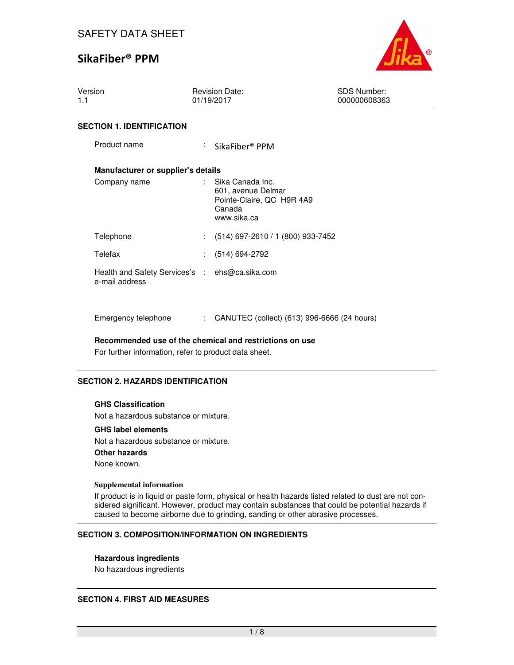## SAFETY DATA SHEET

## SikaFiber® PPM



| Version<br>1.1                                                   | <b>Revision Date:</b><br>01/19/2017                                                                | <b>SDS Number:</b><br>000000608363 |
|------------------------------------------------------------------|----------------------------------------------------------------------------------------------------|------------------------------------|
| <b>SECTION 1. IDENTIFICATION</b>                                 |                                                                                                    |                                    |
| Product name                                                     | $\therefore$ SikaFiber <sup>®</sup> PPM                                                            |                                    |
| Manufacturer or supplier's details                               |                                                                                                    |                                    |
| Company name                                                     | Sika Canada Inc.<br>÷.<br>601, avenue Delmar<br>Pointe-Claire, QC H9R 4A9<br>Canada<br>www.sika.ca |                                    |
| Telephone                                                        | $(514)$ 697-2610 / 1 (800) 933-7452                                                                |                                    |
| Telefax                                                          | $(514) 694 - 2792$                                                                                 |                                    |
| Health and Safety Services's : ehs@ca.sika.com<br>e-mail address |                                                                                                    |                                    |

**Recommended use of the chemical and restrictions on use** 

Emergency telephone : CANUTEC (collect) (613) 996-6666 (24 hours)

For further information, refer to product data sheet.

#### **SECTION 2. HAZARDS IDENTIFICATION**

#### **GHS Classification**

Not a hazardous substance or mixture.

#### **GHS label elements**

Not a hazardous substance or mixture. **Other hazards** None known.

#### **Supplemental information**

If product is in liquid or paste form, physical or health hazards listed related to dust are not considered significant. However, product may contain substances that could be potential hazards if caused to become airborne due to grinding, sanding or other abrasive processes.

#### **SECTION 3. COMPOSITION/INFORMATION ON INGREDIENTS**

#### **Hazardous ingredients**

No hazardous ingredients

#### **SECTION 4. FIRST AID MEASURES**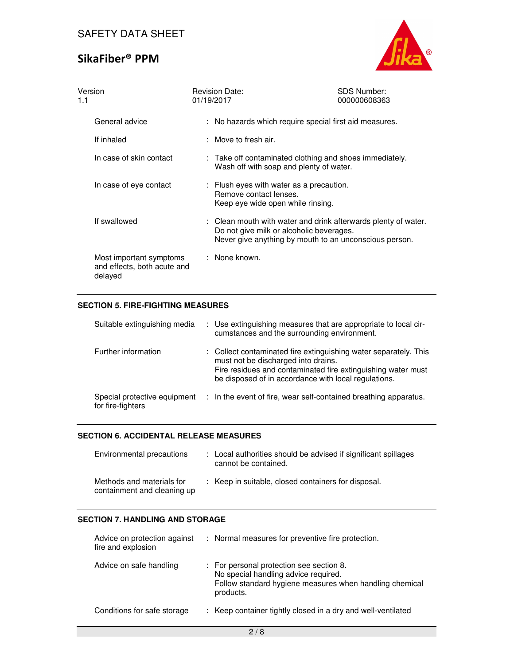

| Version<br>1.1                                                    | <b>Revision Date:</b><br>01/19/2017                                                                     | <b>SDS Number:</b><br>000000608363                                                                                       |
|-------------------------------------------------------------------|---------------------------------------------------------------------------------------------------------|--------------------------------------------------------------------------------------------------------------------------|
| General advice                                                    |                                                                                                         | : No hazards which require special first aid measures.                                                                   |
| If inhaled                                                        | $:$ Move to fresh air.                                                                                  |                                                                                                                          |
| In case of skin contact                                           | Wash off with soap and plenty of water.                                                                 | : Take off contaminated clothing and shoes immediately.                                                                  |
| In case of eye contact                                            | : Flush eyes with water as a precaution.<br>Remove contact lenses.<br>Keep eye wide open while rinsing. |                                                                                                                          |
| If swallowed                                                      | Do not give milk or alcoholic beverages.                                                                | : Clean mouth with water and drink afterwards plenty of water.<br>Never give anything by mouth to an unconscious person. |
| Most important symptoms<br>and effects, both acute and<br>delayed | : None known.                                                                                           |                                                                                                                          |

## **SECTION 5. FIRE-FIGHTING MEASURES**

| Suitable extinguishing media                      | : Use extinguishing measures that are appropriate to local cir-<br>cumstances and the surrounding environment.                                                                                                                  |
|---------------------------------------------------|---------------------------------------------------------------------------------------------------------------------------------------------------------------------------------------------------------------------------------|
| Further information                               | : Collect contaminated fire extinguishing water separately. This<br>must not be discharged into drains.<br>Fire residues and contaminated fire extinguishing water must<br>be disposed of in accordance with local regulations. |
| Special protective equipment<br>for fire-fighters | : In the event of fire, wear self-contained breathing apparatus.                                                                                                                                                                |

### **SECTION 6. ACCIDENTAL RELEASE MEASURES**

| Environmental precautions                                | : Local authorities should be advised if significant spillages<br>cannot be contained. |
|----------------------------------------------------------|----------------------------------------------------------------------------------------|
| Methods and materials for<br>containment and cleaning up | : Keep in suitable, closed containers for disposal.                                    |

#### **SECTION 7. HANDLING AND STORAGE**

| Advice on protection against<br>fire and explosion | : Normal measures for preventive fire protection.                                                                                                        |
|----------------------------------------------------|----------------------------------------------------------------------------------------------------------------------------------------------------------|
| Advice on safe handling                            | : For personal protection see section 8.<br>No special handling advice required.<br>Follow standard hygiene measures when handling chemical<br>products. |
| Conditions for safe storage                        | : Keep container tightly closed in a dry and well-ventilated                                                                                             |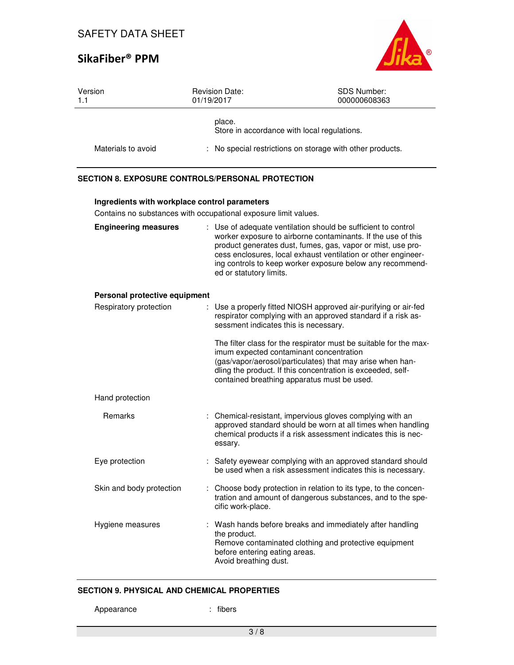

| Version<br>1.1                | <b>Revision Date:</b><br>01/19/2017                                                                              | <b>SDS Number:</b><br>000000608363                                                                                                                                                                                                                                                                                         |
|-------------------------------|------------------------------------------------------------------------------------------------------------------|----------------------------------------------------------------------------------------------------------------------------------------------------------------------------------------------------------------------------------------------------------------------------------------------------------------------------|
|                               | place.<br>Store in accordance with local regulations.                                                            |                                                                                                                                                                                                                                                                                                                            |
| Materials to avoid            |                                                                                                                  | No special restrictions on storage with other products.                                                                                                                                                                                                                                                                    |
|                               | <b>SECTION 8. EXPOSURE CONTROLS/PERSONAL PROTECTION</b>                                                          |                                                                                                                                                                                                                                                                                                                            |
|                               | Ingredients with workplace control parameters<br>Contains no substances with occupational exposure limit values. |                                                                                                                                                                                                                                                                                                                            |
| <b>Engineering measures</b>   | ed or statutory limits.                                                                                          | : Use of adequate ventilation should be sufficient to control<br>worker exposure to airborne contaminants. If the use of this<br>product generates dust, fumes, gas, vapor or mist, use pro-<br>cess enclosures, local exhaust ventilation or other engineer-<br>ing controls to keep worker exposure below any recommend- |
| Personal protective equipment |                                                                                                                  |                                                                                                                                                                                                                                                                                                                            |
| Respiratory protection        | sessment indicates this is necessary.                                                                            | Use a properly fitted NIOSH approved air-purifying or air-fed<br>respirator complying with an approved standard if a risk as-                                                                                                                                                                                              |
|                               |                                                                                                                  | The filter class for the respirator must be suitable for the max-<br>imum expected contaminant concentration<br>(gas/vapor/aerosol/particulates) that may arise when han-<br>dling the product. If this concentration is exceeded, self-<br>contained breathing apparatus must be used.                                    |
| Hand protection               |                                                                                                                  |                                                                                                                                                                                                                                                                                                                            |
| Remarks                       | essary.                                                                                                          | Chemical-resistant, impervious gloves complying with an<br>approved standard should be worn at all times when handling<br>chemical products if a risk assessment indicates this is nec-                                                                                                                                    |
| Eye protection                |                                                                                                                  | : Safety eyewear complying with an approved standard should<br>be used when a risk assessment indicates this is necessary.                                                                                                                                                                                                 |
| Skin and body protection      | cific work-place.                                                                                                | : Choose body protection in relation to its type, to the concen-<br>tration and amount of dangerous substances, and to the spe-                                                                                                                                                                                            |
| Hygiene measures              | the product.<br>before entering eating areas.<br>Avoid breathing dust.                                           | : Wash hands before breaks and immediately after handling<br>Remove contaminated clothing and protective equipment                                                                                                                                                                                                         |

## **SECTION 9. PHYSICAL AND CHEMICAL PROPERTIES**

Appearance : fibers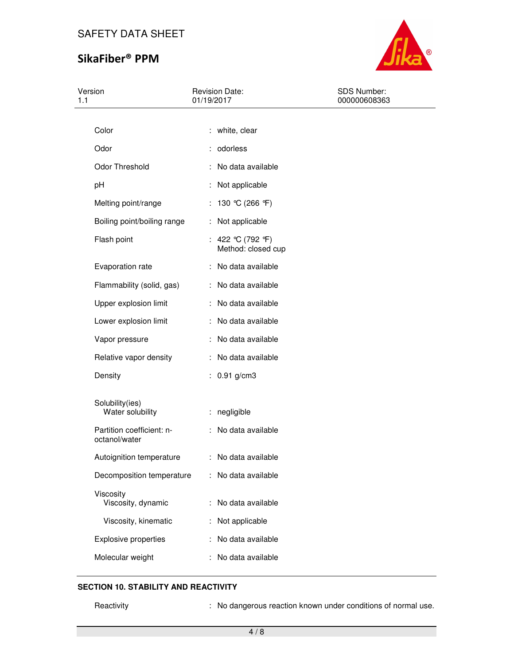## SAFETY DATA SHEET

# SikaFiber® PPM



| 1.1 | Version                                    | <b>Revision Date:</b><br>01/19/2017     | SDS Number:<br>000000608363 |
|-----|--------------------------------------------|-----------------------------------------|-----------------------------|
|     |                                            |                                         |                             |
|     | Color                                      | : white, clear                          |                             |
|     | Odor                                       | : odorless                              |                             |
|     | Odor Threshold                             | : No data available                     |                             |
|     | pH                                         | : Not applicable                        |                             |
|     | Melting point/range                        | : 130 °C (266 °F)                       |                             |
|     | Boiling point/boiling range                | : Not applicable                        |                             |
|     | Flash point                                | : 422 °C (792 °F)<br>Method: closed cup |                             |
|     | Evaporation rate                           | : No data available                     |                             |
|     | Flammability (solid, gas)                  | : No data available                     |                             |
|     | Upper explosion limit                      | : No data available                     |                             |
|     | Lower explosion limit                      | : No data available                     |                             |
|     | Vapor pressure                             | : No data available                     |                             |
|     | Relative vapor density                     | : No data available                     |                             |
|     | Density                                    | : $0.91$ g/cm3                          |                             |
|     | Solubility(ies)<br>Water solubility        | : negligible                            |                             |
|     | Partition coefficient: n-<br>octanol/water | : No data available                     |                             |
|     | Autoignition temperature                   | : No data available                     |                             |
|     | Decomposition temperature                  | : No data available                     |                             |
|     | Viscosity<br>Viscosity, dynamic            | No data available                       |                             |
|     | Viscosity, kinematic                       | Not applicable                          |                             |
|     | <b>Explosive properties</b>                | No data available                       |                             |
|     | Molecular weight                           | No data available                       |                             |

### **SECTION 10. STABILITY AND REACTIVITY**

Reactivity **Reactivity** : No dangerous reaction known under conditions of normal use.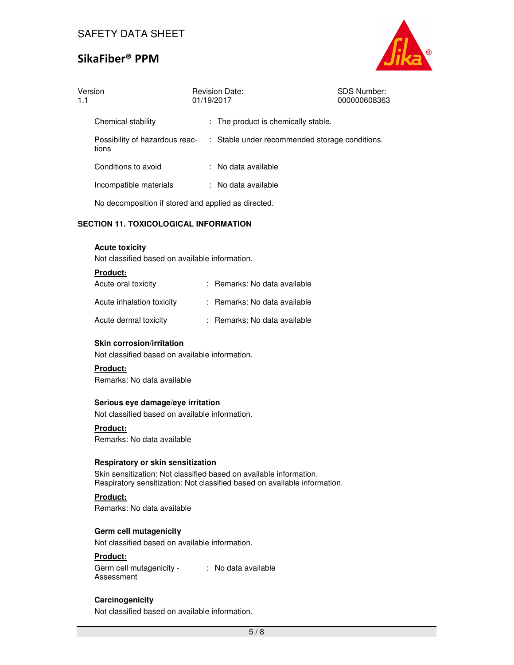

| Version<br>1.1 |                                                     | 01/19/2017 | <b>Revision Date:</b>                          | <b>SDS Number:</b><br>000000608363 |
|----------------|-----------------------------------------------------|------------|------------------------------------------------|------------------------------------|
|                | Chemical stability                                  |            | : The product is chemically stable.            |                                    |
| tions          | Possibility of hazardous reac-                      |            | : Stable under recommended storage conditions. |                                    |
|                | Conditions to avoid                                 |            | : No data available                            |                                    |
|                | Incompatible materials                              |            | : No data available                            |                                    |
|                | No decomposition if stored and applied as directed. |            |                                                |                                    |

## **SECTION 11. TOXICOLOGICAL INFORMATION**

#### **Acute toxicity**

Not classified based on available information.

| <b>Product:</b>           |                              |
|---------------------------|------------------------------|
| Acute oral toxicity       | : Remarks: No data available |
| Acute inhalation toxicity | : Remarks: No data available |
| Acute dermal toxicity     | : Remarks: No data available |

#### **Skin corrosion/irritation**

Not classified based on available information.

## **Product:**

Remarks: No data available

#### **Serious eye damage/eye irritation**

Not classified based on available information.

#### **Product:**

Remarks: No data available

#### **Respiratory or skin sensitization**

Skin sensitization: Not classified based on available information. Respiratory sensitization: Not classified based on available information.

## **Product:**

Remarks: No data available

### **Germ cell mutagenicity**

Not classified based on available information.

## **Product:**

Germ cell mutagenicity - : No data available Assessment

## **Carcinogenicity**

Not classified based on available information.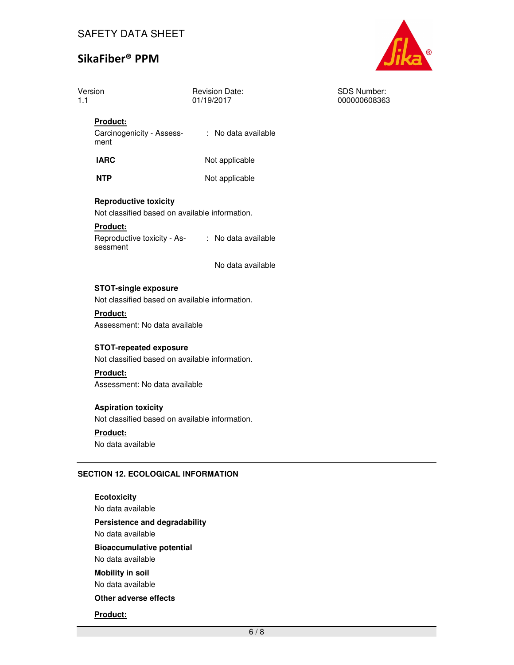

| Version<br>1.1                                                                  | Revision Date:<br>01/19/2017 | SDS Number:<br>000000608363 |
|---------------------------------------------------------------------------------|------------------------------|-----------------------------|
| Product:<br>Carcinogenicity - Assess-<br>ment                                   | : No data available          |                             |
| <b>IARC</b>                                                                     | Not applicable               |                             |
| <b>NTP</b>                                                                      | Not applicable               |                             |
| <b>Reproductive toxicity</b><br>Not classified based on available information.  |                              |                             |
| Product:<br>Reproductive toxicity - As- : No data available<br>sessment         |                              |                             |
|                                                                                 | No data available            |                             |
| <b>STOT-single exposure</b><br>Not classified based on available information.   |                              |                             |
| Product:<br>Assessment: No data available                                       |                              |                             |
| <b>STOT-repeated exposure</b><br>Not classified based on available information. |                              |                             |
| Product:<br>Assessment: No data available                                       |                              |                             |
| <b>Aspiration toxicity</b><br>Not classified based on available information.    |                              |                             |
| Product:<br>No data available                                                   |                              |                             |
| <b>SECTION 12. ECOLOGICAL INFORMATION</b>                                       |                              |                             |
| <b>Ecotoxicity</b><br>No doto quoilabla                                         |                              |                             |

No data available **Persistence and degradability**  No data available **Bioaccumulative potential**  No data available **Mobility in soil**  No data available **Other adverse effects**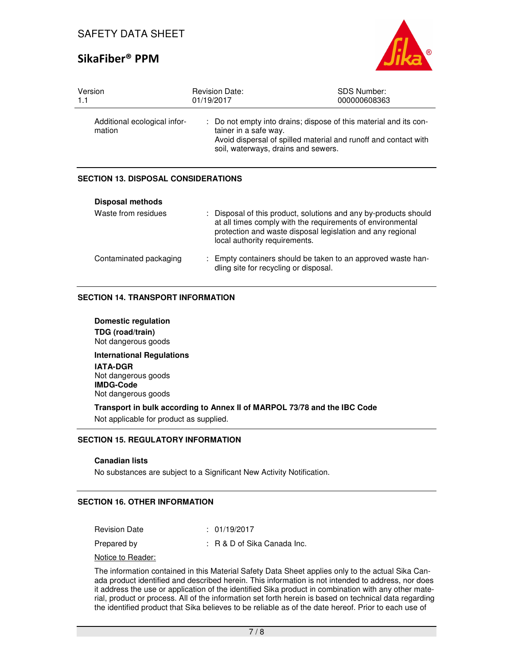

| Version                                | <b>Revision Date:</b>                                                                                                                                                                                | <b>SDS Number:</b> |
|----------------------------------------|------------------------------------------------------------------------------------------------------------------------------------------------------------------------------------------------------|--------------------|
| 1.1                                    | 01/19/2017                                                                                                                                                                                           | 000000608363       |
| Additional ecological infor-<br>mation | : Do not empty into drains; dispose of this material and its con-<br>tainer in a safe way.<br>Avoid dispersal of spilled material and runoff and contact with<br>soil, waterways, drains and sewers. |                    |

## **SECTION 13. DISPOSAL CONSIDERATIONS**

| <b>Disposal methods</b> |                                                                                                                                                                                                                               |
|-------------------------|-------------------------------------------------------------------------------------------------------------------------------------------------------------------------------------------------------------------------------|
| Waste from residues     | : Disposal of this product, solutions and any by-products should<br>at all times comply with the requirements of environmental<br>protection and waste disposal legislation and any regional<br>local authority requirements. |
| Contaminated packaging  | : Empty containers should be taken to an approved waste han-<br>dling site for recycling or disposal.                                                                                                                         |

### **SECTION 14. TRANSPORT INFORMATION**

**Domestic regulation TDG (road/train)** Not dangerous goods

**International Regulations IATA-DGR**

Not dangerous goods **IMDG-Code** Not dangerous goods

**Transport in bulk according to Annex II of MARPOL 73/78 and the IBC Code**  Not applicable for product as supplied.

## **SECTION 15. REGULATORY INFORMATION**

#### **Canadian lists**

No substances are subject to a Significant New Activity Notification.

#### **SECTION 16. OTHER INFORMATION**

Revision Date : 01/19/2017

Prepared by : R & D of Sika Canada Inc.

Notice to Reader:

The information contained in this Material Safety Data Sheet applies only to the actual Sika Canada product identified and described herein. This information is not intended to address, nor does it address the use or application of the identified Sika product in combination with any other material, product or process. All of the information set forth herein is based on technical data regarding the identified product that Sika believes to be reliable as of the date hereof. Prior to each use of